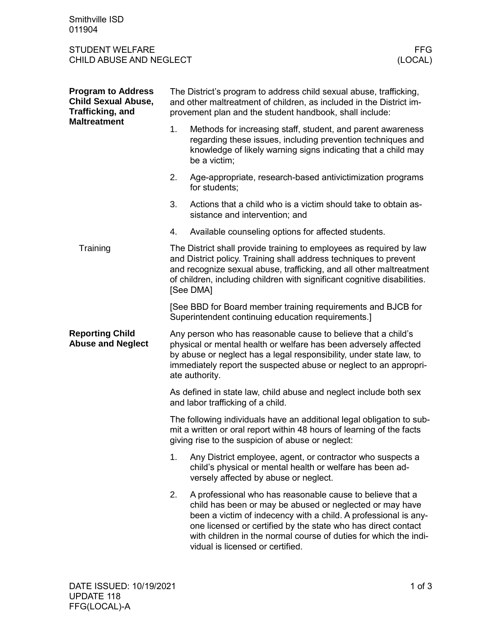Smithville ISD 011904

## STUDENT WELFARE FFG<br>CHILD ABUSE AND NEGLECT (LOCAL) CHILD ABUSE AND NEGLECT

| <b>Program to Address</b><br><b>Child Sexual Abuse,</b><br><b>Trafficking, and</b><br><b>Maltreatment</b> | The District's program to address child sexual abuse, trafficking,<br>and other maltreatment of children, as included in the District im-<br>provement plan and the student handbook, shall include:                                                                                                     |                                                                                                                                                                                                                                                                                                                                                                   |  |
|-----------------------------------------------------------------------------------------------------------|----------------------------------------------------------------------------------------------------------------------------------------------------------------------------------------------------------------------------------------------------------------------------------------------------------|-------------------------------------------------------------------------------------------------------------------------------------------------------------------------------------------------------------------------------------------------------------------------------------------------------------------------------------------------------------------|--|
|                                                                                                           | 1.                                                                                                                                                                                                                                                                                                       | Methods for increasing staff, student, and parent awareness<br>regarding these issues, including prevention techniques and<br>knowledge of likely warning signs indicating that a child may<br>be a victim;                                                                                                                                                       |  |
|                                                                                                           | 2.                                                                                                                                                                                                                                                                                                       | Age-appropriate, research-based antivictimization programs<br>for students;                                                                                                                                                                                                                                                                                       |  |
|                                                                                                           | 3.                                                                                                                                                                                                                                                                                                       | Actions that a child who is a victim should take to obtain as-<br>sistance and intervention; and                                                                                                                                                                                                                                                                  |  |
|                                                                                                           | 4.                                                                                                                                                                                                                                                                                                       | Available counseling options for affected students.                                                                                                                                                                                                                                                                                                               |  |
| Training                                                                                                  | The District shall provide training to employees as required by law<br>and District policy. Training shall address techniques to prevent<br>and recognize sexual abuse, trafficking, and all other maltreatment<br>of children, including children with significant cognitive disabilities.<br>[See DMA] |                                                                                                                                                                                                                                                                                                                                                                   |  |
|                                                                                                           | [See BBD for Board member training requirements and BJCB for<br>Superintendent continuing education requirements.]                                                                                                                                                                                       |                                                                                                                                                                                                                                                                                                                                                                   |  |
| <b>Reporting Child</b><br><b>Abuse and Neglect</b>                                                        | Any person who has reasonable cause to believe that a child's<br>physical or mental health or welfare has been adversely affected<br>by abuse or neglect has a legal responsibility, under state law, to<br>immediately report the suspected abuse or neglect to an appropri-<br>ate authority.          |                                                                                                                                                                                                                                                                                                                                                                   |  |
|                                                                                                           | As defined in state law, child abuse and neglect include both sex<br>and labor trafficking of a child.                                                                                                                                                                                                   |                                                                                                                                                                                                                                                                                                                                                                   |  |
|                                                                                                           | The following individuals have an additional legal obligation to sub-<br>mit a written or oral report within 48 hours of learning of the facts<br>giving rise to the suspicion of abuse or neglect:                                                                                                      |                                                                                                                                                                                                                                                                                                                                                                   |  |
|                                                                                                           | 1.                                                                                                                                                                                                                                                                                                       | Any District employee, agent, or contractor who suspects a<br>child's physical or mental health or welfare has been ad-<br>versely affected by abuse or neglect.                                                                                                                                                                                                  |  |
|                                                                                                           | 2.                                                                                                                                                                                                                                                                                                       | A professional who has reasonable cause to believe that a<br>child has been or may be abused or neglected or may have<br>been a victim of indecency with a child. A professional is any-<br>one licensed or certified by the state who has direct contact<br>with children in the normal course of duties for which the indi-<br>vidual is licensed or certified. |  |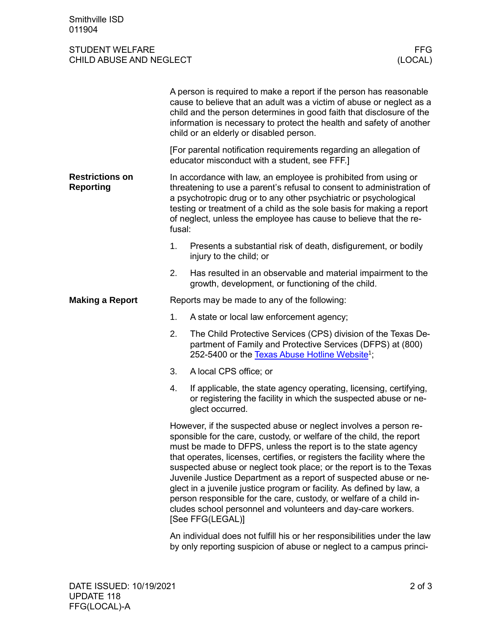## STUDENT WELFARE FFG<br>CHILD ABUSE AND NEGLECT (LOCAL) CHILD ABUSE AND NEGLECT

|                                            | A person is required to make a report if the person has reasonable<br>cause to believe that an adult was a victim of abuse or neglect as a<br>child and the person determines in good faith that disclosure of the<br>information is necessary to protect the health and safety of another<br>child or an elderly or disabled person.                                                                                                                                                                                                                                                                                                                                  |                                                                                                                                                                                           |  |  |
|--------------------------------------------|------------------------------------------------------------------------------------------------------------------------------------------------------------------------------------------------------------------------------------------------------------------------------------------------------------------------------------------------------------------------------------------------------------------------------------------------------------------------------------------------------------------------------------------------------------------------------------------------------------------------------------------------------------------------|-------------------------------------------------------------------------------------------------------------------------------------------------------------------------------------------|--|--|
|                                            | [For parental notification requirements regarding an allegation of<br>educator misconduct with a student, see FFF.]                                                                                                                                                                                                                                                                                                                                                                                                                                                                                                                                                    |                                                                                                                                                                                           |  |  |
| <b>Restrictions on</b><br><b>Reporting</b> | In accordance with law, an employee is prohibited from using or<br>threatening to use a parent's refusal to consent to administration of<br>a psychotropic drug or to any other psychiatric or psychological<br>testing or treatment of a child as the sole basis for making a report<br>of neglect, unless the employee has cause to believe that the re-<br>fusal:                                                                                                                                                                                                                                                                                                   |                                                                                                                                                                                           |  |  |
|                                            | 1.                                                                                                                                                                                                                                                                                                                                                                                                                                                                                                                                                                                                                                                                     | Presents a substantial risk of death, disfigurement, or bodily<br>injury to the child; or                                                                                                 |  |  |
|                                            | 2.                                                                                                                                                                                                                                                                                                                                                                                                                                                                                                                                                                                                                                                                     | Has resulted in an observable and material impairment to the<br>growth, development, or functioning of the child.                                                                         |  |  |
| <b>Making a Report</b>                     | Reports may be made to any of the following:                                                                                                                                                                                                                                                                                                                                                                                                                                                                                                                                                                                                                           |                                                                                                                                                                                           |  |  |
|                                            | 1.                                                                                                                                                                                                                                                                                                                                                                                                                                                                                                                                                                                                                                                                     | A state or local law enforcement agency;                                                                                                                                                  |  |  |
|                                            | 2.                                                                                                                                                                                                                                                                                                                                                                                                                                                                                                                                                                                                                                                                     | The Child Protective Services (CPS) division of the Texas De-<br>partment of Family and Protective Services (DFPS) at (800)<br>252-5400 or the Texas Abuse Hotline Website <sup>1</sup> ; |  |  |
|                                            | 3.                                                                                                                                                                                                                                                                                                                                                                                                                                                                                                                                                                                                                                                                     | A local CPS office; or                                                                                                                                                                    |  |  |
|                                            | 4.                                                                                                                                                                                                                                                                                                                                                                                                                                                                                                                                                                                                                                                                     | If applicable, the state agency operating, licensing, certifying,<br>or registering the facility in which the suspected abuse or ne-<br>glect occurred.                                   |  |  |
|                                            | However, if the suspected abuse or neglect involves a person re-<br>sponsible for the care, custody, or welfare of the child, the report<br>must be made to DFPS, unless the report is to the state agency<br>that operates, licenses, certifies, or registers the facility where the<br>suspected abuse or neglect took place; or the report is to the Texas<br>Juvenile Justice Department as a report of suspected abuse or ne-<br>glect in a juvenile justice program or facility. As defined by law, a<br>person responsible for the care, custody, or welfare of a child in-<br>cludes school personnel and volunteers and day-care workers.<br>[See FFG(LEGAL)] |                                                                                                                                                                                           |  |  |
|                                            |                                                                                                                                                                                                                                                                                                                                                                                                                                                                                                                                                                                                                                                                        | An individual does not fulfill his or her responsibilities under the law<br>by only reporting suspicion of abuse or neglect to a campus princi-                                           |  |  |